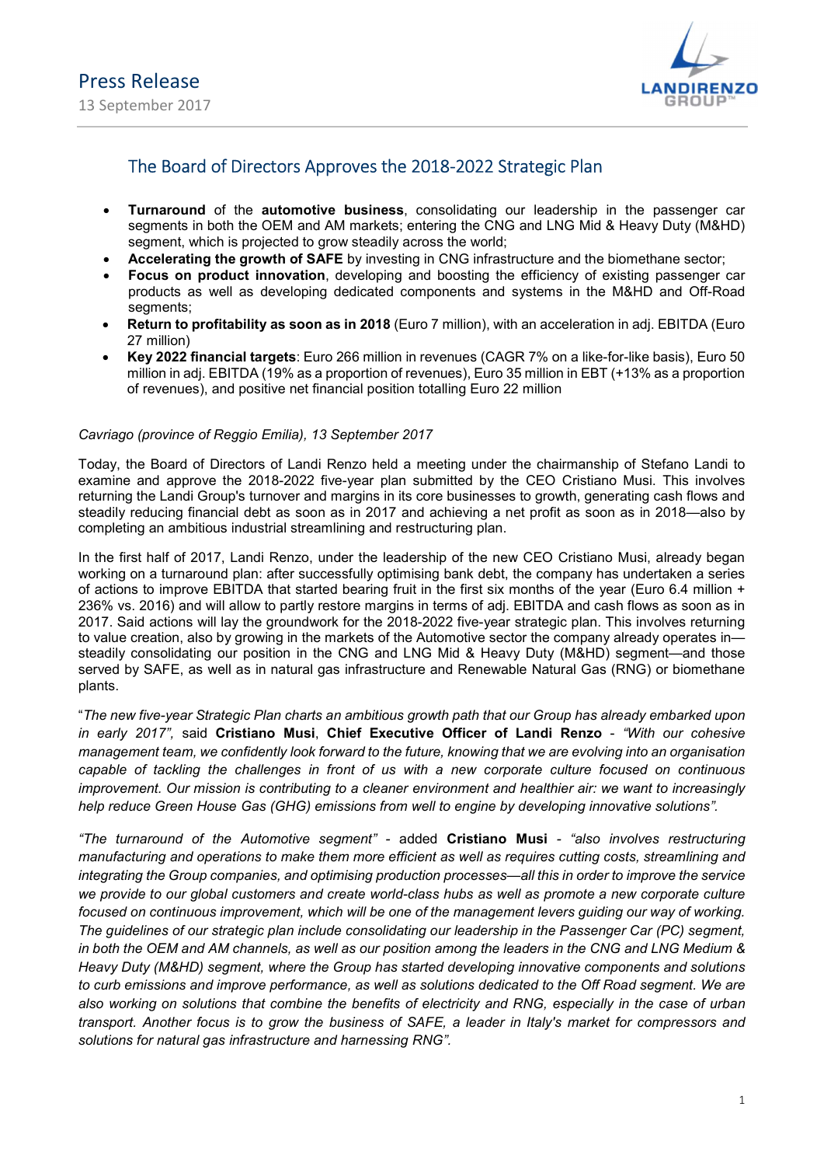

# The Board of Directors Approves the 2018-2022 Strategic Plan

- Turnaround of the automotive business, consolidating our leadership in the passenger car segments in both the OEM and AM markets; entering the CNG and LNG Mid & Heavy Duty (M&HD) segment, which is projected to grow steadily across the world;
- Accelerating the growth of SAFE by investing in CNG infrastructure and the biomethane sector;
- Focus on product innovation, developing and boosting the efficiency of existing passenger car products as well as developing dedicated components and systems in the M&HD and Off-Road segments:
- Return to profitability as soon as in 2018 (Euro 7 million), with an acceleration in adj. EBITDA (Euro 27 million)
- Key 2022 financial targets: Euro 266 million in revenues (CAGR 7% on a like-for-like basis), Euro 50 million in adj. EBITDA (19% as a proportion of revenues), Euro 35 million in EBT (+13% as a proportion of revenues), and positive net financial position totalling Euro 22 million

## Cavriago (province of Reggio Emilia), 13 September 2017

Today, the Board of Directors of Landi Renzo held a meeting under the chairmanship of Stefano Landi to examine and approve the 2018-2022 five-year plan submitted by the CEO Cristiano Musi. This involves returning the Landi Group's turnover and margins in its core businesses to growth, generating cash flows and steadily reducing financial debt as soon as in 2017 and achieving a net profit as soon as in 2018—also by completing an ambitious industrial streamlining and restructuring plan.

In the first half of 2017, Landi Renzo, under the leadership of the new CEO Cristiano Musi, already began working on a turnaround plan: after successfully optimising bank debt, the company has undertaken a series of actions to improve EBITDA that started bearing fruit in the first six months of the year (Euro 6.4 million + 236% vs. 2016) and will allow to partly restore margins in terms of adj. EBITDA and cash flows as soon as in 2017. Said actions will lay the groundwork for the 2018-2022 five-year strategic plan. This involves returning to value creation, also by growing in the markets of the Automotive sector the company already operates in steadily consolidating our position in the CNG and LNG Mid & Heavy Duty (M&HD) segment—and those served by SAFE, as well as in natural gas infrastructure and Renewable Natural Gas (RNG) or biomethane plants.

"The new five-year Strategic Plan charts an ambitious growth path that our Group has already embarked upon in early 2017", said Cristiano Musi, Chief Executive Officer of Landi Renzo - "With our cohesive management team, we confidently look forward to the future, knowing that we are evolving into an organisation capable of tackling the challenges in front of us with a new corporate culture focused on continuous improvement. Our mission is contributing to a cleaner environment and healthier air: we want to increasingly help reduce Green House Gas (GHG) emissions from well to engine by developing innovative solutions".

"The turnaround of the Automotive segment" - added Cristiano Musi - "also involves restructuring manufacturing and operations to make them more efficient as well as requires cutting costs, streamlining and integrating the Group companies, and optimising production processes—all this in order to improve the service we provide to our global customers and create world-class hubs as well as promote a new corporate culture focused on continuous improvement, which will be one of the management levers guiding our way of working. The guidelines of our strategic plan include consolidating our leadership in the Passenger Car (PC) segment, in both the OEM and AM channels, as well as our position among the leaders in the CNG and LNG Medium & Heavy Duty (M&HD) segment, where the Group has started developing innovative components and solutions to curb emissions and improve performance, as well as solutions dedicated to the Off Road segment. We are also working on solutions that combine the benefits of electricity and RNG, especially in the case of urban transport. Another focus is to grow the business of SAFE, a leader in Italy's market for compressors and solutions for natural gas infrastructure and harnessing RNG".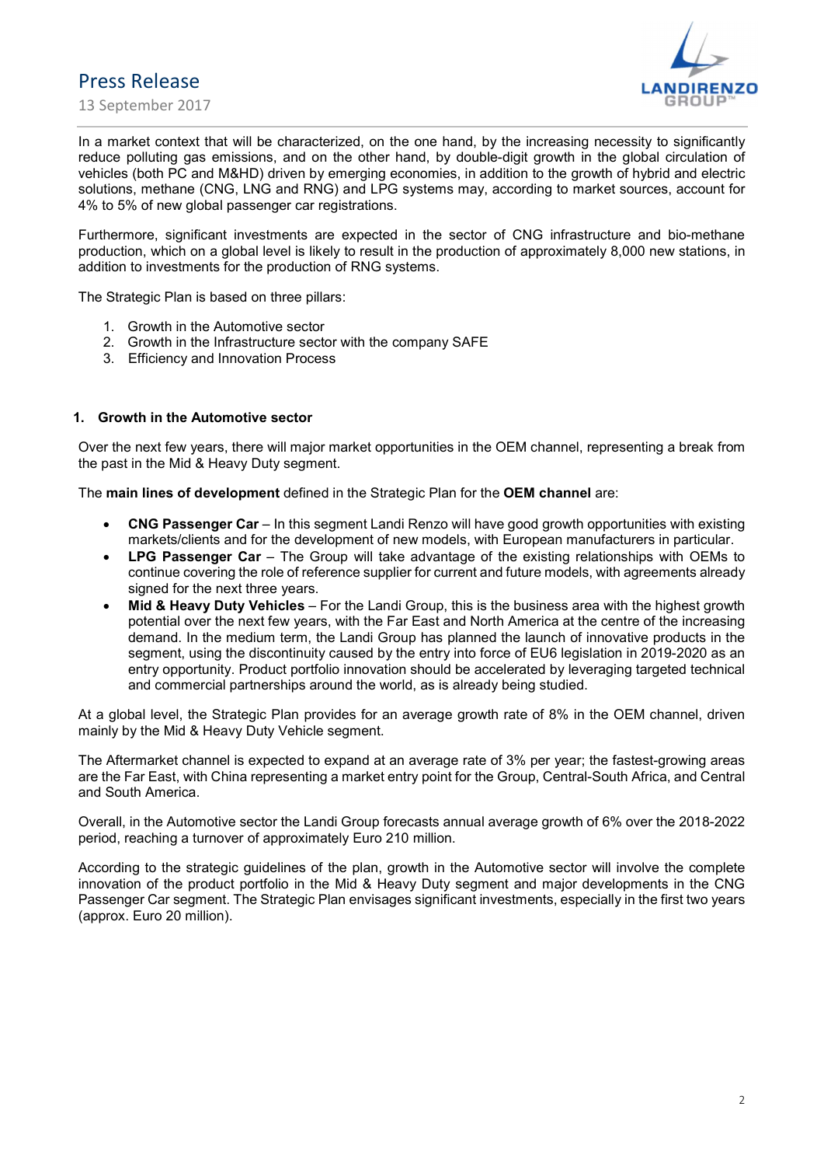Press Release

13 September 2017



In a market context that will be characterized, on the one hand, by the increasing necessity to significantly reduce polluting gas emissions, and on the other hand, by double-digit growth in the global circulation of vehicles (both PC and M&HD) driven by emerging economies, in addition to the growth of hybrid and electric solutions, methane (CNG, LNG and RNG) and LPG systems may, according to market sources, account for 4% to 5% of new global passenger car registrations.

Furthermore, significant investments are expected in the sector of CNG infrastructure and bio-methane production, which on a global level is likely to result in the production of approximately 8,000 new stations, in addition to investments for the production of RNG systems.

The Strategic Plan is based on three pillars:

- 1. Growth in the Automotive sector
- 2. Growth in the Infrastructure sector with the company SAFE
- 3. Efficiency and Innovation Process

#### 1. Growth in the Automotive sector

Over the next few years, there will major market opportunities in the OEM channel, representing a break from the past in the Mid & Heavy Duty segment.

The main lines of development defined in the Strategic Plan for the OEM channel are:

- CNG Passenger Car In this segment Landi Renzo will have good growth opportunities with existing markets/clients and for the development of new models, with European manufacturers in particular.
- LPG Passenger Car The Group will take advantage of the existing relationships with OEMs to continue covering the role of reference supplier for current and future models, with agreements already signed for the next three years.
- Mid & Heavy Duty Vehicles For the Landi Group, this is the business area with the highest growth potential over the next few years, with the Far East and North America at the centre of the increasing demand. In the medium term, the Landi Group has planned the launch of innovative products in the segment, using the discontinuity caused by the entry into force of EU6 legislation in 2019-2020 as an entry opportunity. Product portfolio innovation should be accelerated by leveraging targeted technical and commercial partnerships around the world, as is already being studied.

At a global level, the Strategic Plan provides for an average growth rate of 8% in the OEM channel, driven mainly by the Mid & Heavy Duty Vehicle segment.

The Aftermarket channel is expected to expand at an average rate of 3% per year; the fastest-growing areas are the Far East, with China representing a market entry point for the Group, Central-South Africa, and Central and South America.

Overall, in the Automotive sector the Landi Group forecasts annual average growth of 6% over the 2018-2022 period, reaching a turnover of approximately Euro 210 million.

According to the strategic guidelines of the plan, growth in the Automotive sector will involve the complete innovation of the product portfolio in the Mid & Heavy Duty segment and major developments in the CNG Passenger Car segment. The Strategic Plan envisages significant investments, especially in the first two years (approx. Euro 20 million).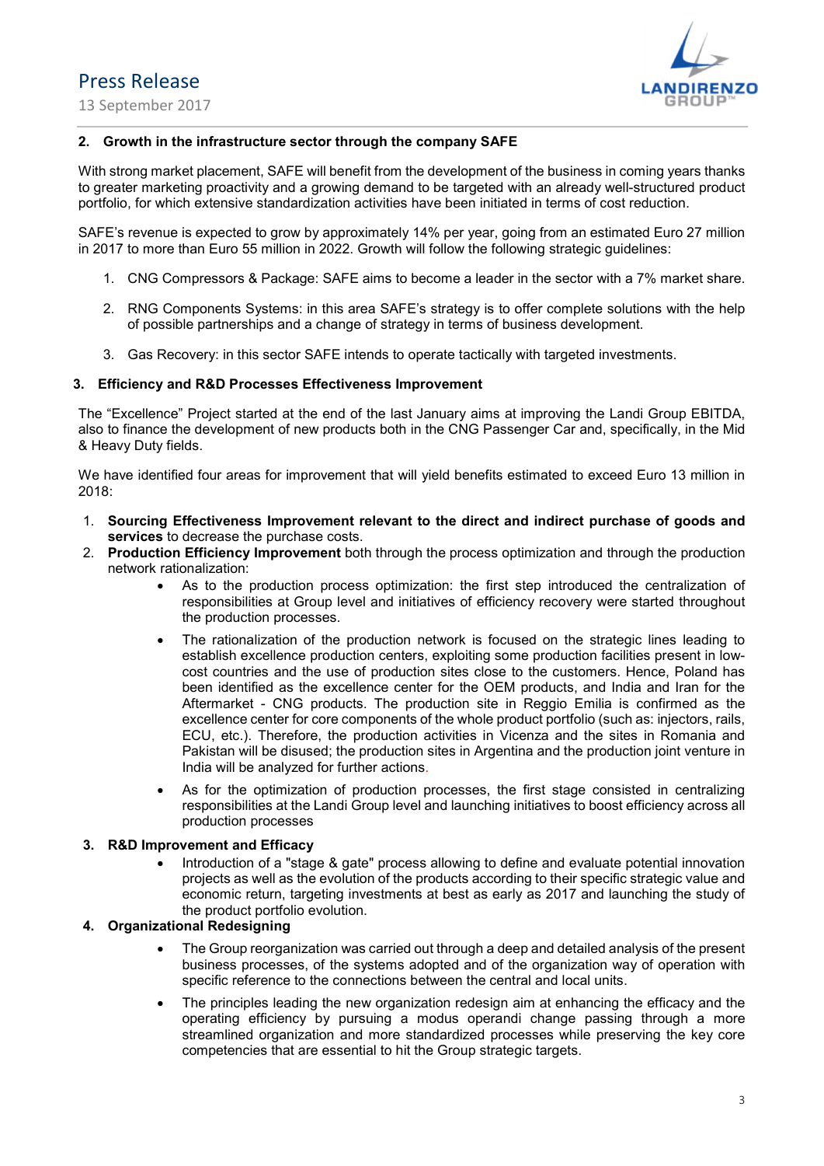Press Release

13 September 2017



## 2. Growth in the infrastructure sector through the company SAFE

With strong market placement, SAFE will benefit from the development of the business in coming years thanks to greater marketing proactivity and a growing demand to be targeted with an already well-structured product portfolio, for which extensive standardization activities have been initiated in terms of cost reduction.

SAFE's revenue is expected to grow by approximately 14% per year, going from an estimated Euro 27 million in 2017 to more than Euro 55 million in 2022. Growth will follow the following strategic guidelines:

- 1. CNG Compressors & Package: SAFE aims to become a leader in the sector with a 7% market share.
- 2. RNG Components Systems: in this area SAFE's strategy is to offer complete solutions with the help of possible partnerships and a change of strategy in terms of business development.
- 3. Gas Recovery: in this sector SAFE intends to operate tactically with targeted investments.

#### 3. Efficiency and R&D Processes Effectiveness Improvement

The "Excellence" Project started at the end of the last January aims at improving the Landi Group EBITDA, also to finance the development of new products both in the CNG Passenger Car and, specifically, in the Mid & Heavy Duty fields.

We have identified four areas for improvement that will yield benefits estimated to exceed Euro 13 million in 2018:

- 1. Sourcing Effectiveness Improvement relevant to the direct and indirect purchase of goods and services to decrease the purchase costs.
- 2. Production Efficiency Improvement both through the process optimization and through the production network rationalization:
	- As to the production process optimization: the first step introduced the centralization of responsibilities at Group level and initiatives of efficiency recovery were started throughout the production processes.
	- The rationalization of the production network is focused on the strategic lines leading to establish excellence production centers, exploiting some production facilities present in lowcost countries and the use of production sites close to the customers. Hence, Poland has been identified as the excellence center for the OEM products, and India and Iran for the Aftermarket - CNG products. The production site in Reggio Emilia is confirmed as the excellence center for core components of the whole product portfolio (such as: injectors, rails, ECU, etc.). Therefore, the production activities in Vicenza and the sites in Romania and Pakistan will be disused; the production sites in Argentina and the production joint venture in India will be analyzed for further actions.
	- As for the optimization of production processes, the first stage consisted in centralizing responsibilities at the Landi Group level and launching initiatives to boost efficiency across all production processes

## 3. R&D Improvement and Efficacy

 Introduction of a "stage & gate" process allowing to define and evaluate potential innovation projects as well as the evolution of the products according to their specific strategic value and economic return, targeting investments at best as early as 2017 and launching the study of the product portfolio evolution.

#### 4. Organizational Redesigning

- The Group reorganization was carried out through a deep and detailed analysis of the present business processes, of the systems adopted and of the organization way of operation with specific reference to the connections between the central and local units.
- The principles leading the new organization redesign aim at enhancing the efficacy and the operating efficiency by pursuing a modus operandi change passing through a more streamlined organization and more standardized processes while preserving the key core competencies that are essential to hit the Group strategic targets.